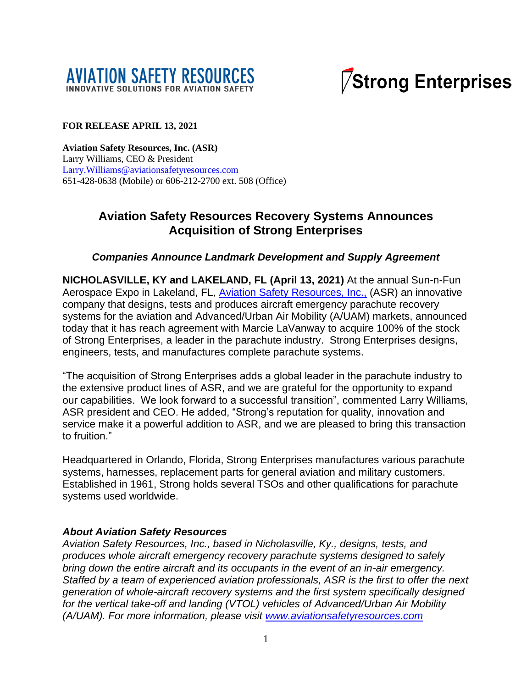



#### **FOR RELEASE APRIL 13, 2021**

**Aviation Safety Resources, Inc. (ASR)** Larry Williams, CEO & President [Larry.Williams@aviationsafetyresources.com](mailto:Larry.Williams@aviationsafetyresources.com) 651-428-0638 (Mobile) or 606-212-2700 ext. 508 (Office)

# **Aviation Safety Resources Recovery Systems Announces Acquisition of Strong Enterprises**

#### *Companies Announce Landmark Development and Supply Agreement*

**NICHOLASVILLE, KY and LAKELAND, FL (April 13, 2021)** At the annual Sun-n-Fun Aerospace Expo in Lakeland, FL, [Aviation Safety Resources, Inc.,](http://www.aviationsafetyresources.com/) (ASR) an innovative company that designs, tests and produces aircraft emergency parachute recovery systems for the aviation and Advanced/Urban Air Mobility (A/UAM) markets, announced today that it has reach agreement with Marcie LaVanway to acquire 100% of the stock of Strong Enterprises, a leader in the parachute industry. Strong Enterprises designs, engineers, tests, and manufactures complete parachute systems.

"The acquisition of Strong Enterprises adds a global leader in the parachute industry to the extensive product lines of ASR, and we are grateful for the opportunity to expand our capabilities. We look forward to a successful transition", commented Larry Williams, ASR president and CEO. He added, "Strong's reputation for quality, innovation and service make it a powerful addition to ASR, and we are pleased to bring this transaction to fruition."

Headquartered in Orlando, Florida, Strong Enterprises manufactures various parachute systems, harnesses, replacement parts for general aviation and military customers. Established in 1961, Strong holds several TSOs and other qualifications for parachute systems used worldwide.

#### *About Aviation Safety Resources*

*Aviation Safety Resources, Inc., based in Nicholasville, Ky., designs, tests, and produces whole aircraft emergency recovery parachute systems designed to safely bring down the entire aircraft and its occupants in the event of an in-air emergency. Staffed by a team of experienced aviation professionals, ASR is the first to offer the next generation of whole-aircraft recovery systems and the first system specifically designed for the vertical take-off and landing (VTOL) vehicles of Advanced/Urban Air Mobility (A/UAM). For more information, please visit [www.aviationsafetyresources.com](http://www.aviationsafetyresources.com/)*